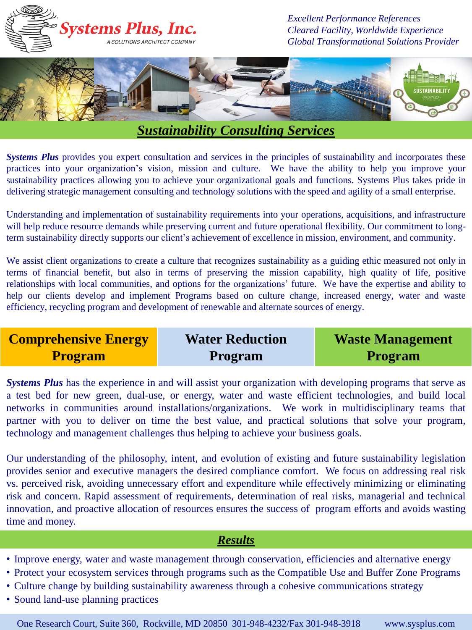

# *Sustainability Consulting Services*

*Systems Plus* provides you expert consultation and services in the principles of sustainability and incorporates these practices into your organization's vision, mission and culture. We have the ability to help you improve your sustainability practices allowing you to achieve your organizational goals and functions. Systems Plus takes pride in delivering strategic management consulting and technology solutions with the speed and agility of a small enterprise.

Understanding and implementation of sustainability requirements into your operations, acquisitions, and infrastructure will help reduce resource demands while preserving current and future operational flexibility. Our commitment to longterm sustainability directly supports our client's achievement of excellence in mission, environment, and community.

We assist client organizations to create a culture that recognizes sustainability as a guiding ethic measured not only in terms of financial benefit, but also in terms of preserving the mission capability, high quality of life, positive relationships with local communities, and options for the organizations' future. We have the expertise and ability to help our clients develop and implement Programs based on culture change, increased energy, water and waste efficiency, recycling program and development of renewable and alternate sources of energy.

**Comprehensive Energy Program Water Reduction Program Waste Management Program** 

*Systems Plus* has the experience in and will assist your organization with developing programs that serve as a test bed for new green, dual-use, or energy, water and waste efficient technologies, and build local networks in communities around installations/organizations. We work in multidisciplinary teams that partner with you to deliver on time the best value, and practical solutions that solve your program, technology and management challenges thus helping to achieve your business goals.

Our understanding of the philosophy, intent, and evolution of existing and future sustainability legislation provides senior and executive managers the desired compliance comfort. We focus on addressing real risk vs. perceived risk, avoiding unnecessary effort and expenditure while effectively minimizing or eliminating risk and concern. Rapid assessment of requirements, determination of real risks, managerial and technical innovation, and proactive allocation of resources ensures the success of program efforts and avoids wasting time and money.

## *Results*

- Improve energy, water and waste management through conservation, efficiencies and alternative energy
- Protect your ecosystem services through programs such as the Compatible Use and Buffer Zone Programs
- Culture change by building sustainability awareness through a cohesive communications strategy
- Sound land-use planning practices

One Research Court, Suite 360, Rockville, MD 20850 301-948-4232/Fax 301-948-3918 www.sysplus.com